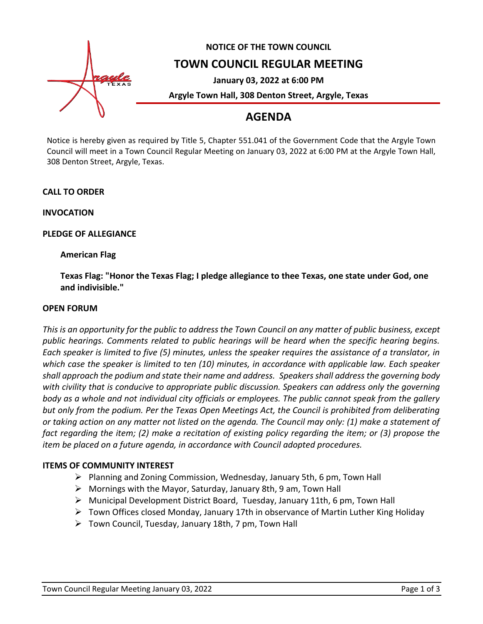

## **NOTICE OF THE TOWN COUNCIL**

## **TOWN COUNCIL REGULAR MEETING**

**January 03, 2022 at 6:00 PM**

**Argyle Town Hall, 308 Denton Street, Argyle, Texas**

## **AGENDA**

Notice is hereby given as required by Title 5, Chapter 551.041 of the Government Code that the Argyle Town Council will meet in a Town Council Regular Meeting on January 03, 2022 at 6:00 PM at the Argyle Town Hall, 308 Denton Street, Argyle, Texas.

#### **CALL TO ORDER**

**INVOCATION**

#### **PLEDGE OF ALLEGIANCE**

### **American Flag**

**Texas Flag: "Honor the Texas Flag; I pledge allegiance to thee Texas, one state under God, one and indivisible."**

#### **OPEN FORUM**

*This is an opportunity for the public to address the Town Council on any matter of public business, except public hearings. Comments related to public hearings will be heard when the specific hearing begins. Each speaker is limited to five (5) minutes, unless the speaker requires the assistance of a translator, in which case the speaker is limited to ten (10) minutes, in accordance with applicable law. Each speaker shall approach the podium and state their name and address. Speakers shall address the governing body with civility that is conducive to appropriate public discussion. Speakers can address only the governing body as a whole and not individual city officials or employees. The public cannot speak from the gallery but only from the podium. Per the Texas Open Meetings Act, the Council is prohibited from deliberating or taking action on any matter not listed on the agenda. The Council may only: (1) make a statement of fact regarding the item; (2) make a recitation of existing policy regarding the item; or (3) propose the item be placed on a future agenda, in accordance with Council adopted procedures.*

#### **ITEMS OF COMMUNITY INTEREST**

- ➢ Planning and Zoning Commission, Wednesday, January 5th, 6 pm, Town Hall
- ➢ Mornings with the Mayor, Saturday, January 8th, 9 am, Town Hall
- $\triangleright$  Municipal Development District Board, Tuesday, January 11th, 6 pm, Town Hall
- $\triangleright$  Town Offices closed Monday, January 17th in observance of Martin Luther King Holiday
- ➢ Town Council, Tuesday, January 18th, 7 pm, Town Hall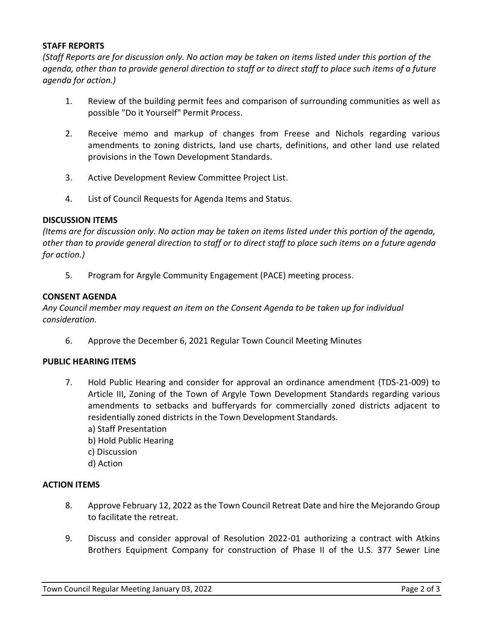#### **STAFF REPORTS**

*(Staff Reports are for discussion only. No action may be taken on items listed under this portion of the agenda, other than to provide general direction to staff or to direct staff to place such items of a future agenda for action.)*

- 1. Review of the building permit fees and comparison of surrounding communities as well as possible "Do it Yourself" Permit Process.
- 2. Receive memo and markup of changes from Freese and Nichols regarding various amendments to zoning districts, land use charts, definitions, and other land use related provisions in the Town Development Standards.
- 3. Active Development Review Committee Project List.
- 4. List of Council Requests for Agenda Items and Status.

#### **DISCUSSION ITEMS**

*(Items are for discussion only. No action may be taken on items listed under this portion of the agenda, other than to provide general direction to staff or to direct staff to place such items on a future agenda for action.)*

5. Program for Argyle Community Engagement (PACE) meeting process.

#### **CONSENT AGENDA**

*Any Council member may request an item on the Consent Agenda to be taken up for individual consideration.*

6. Approve the December 6, 2021 Regular Town Council Meeting Minutes

#### **PUBLIC HEARING ITEMS**

- 7. Hold Public Hearing and consider for approval an ordinance amendment (TDS-21-009) to Article III, Zoning of the Town of Argyle Town Development Standards regarding various amendments to setbacks and bufferyards for commercially zoned districts adjacent to residentially zoned districts in the Town Development Standards.
	- a) Staff Presentation
	- b) Hold Public Hearing
	- c) Discussion
	- d) Action

#### **ACTION ITEMS**

- 8. Approve February 12, 2022 as the Town Council Retreat Date and hire the Mejorando Group to facilitate the retreat.
- 9. Discuss and consider approval of Resolution 2022-01 authorizing a contract with Atkins Brothers Equipment Company for construction of Phase II of the U.S. 377 Sewer Line